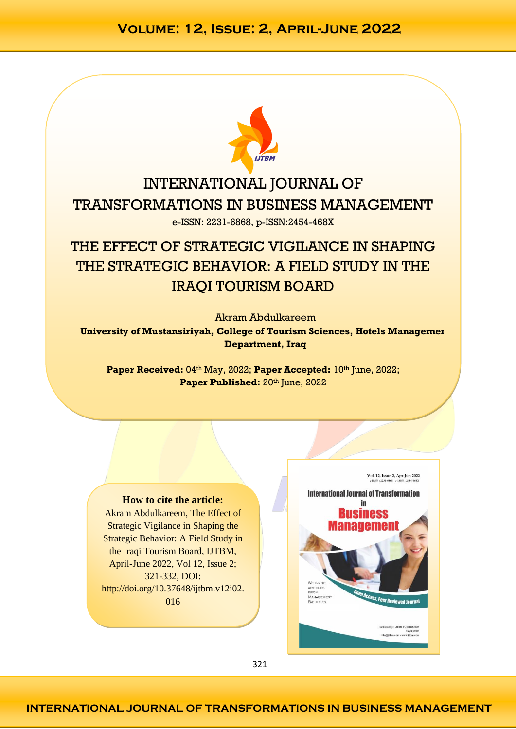

# INTERNATIONAL JOURNAL OF TRANSFORMATIONS IN BUSINESS MANAGEMENT e-ISSN: 2231-6868, p-ISSN:2454-468X

# THE EFFECT OF STRATEGIC VIGILANCE IN SHAPING THE STRATEGIC BEHAVIOR: A FIELD STUDY IN THE IRAQI TOURISM BOARD

Akram Abdulkareem **University of Mustansiriyah, College of Tourism Sciences, Hotels Management Department, Iraq**

Paper Received: 04<sup>th</sup> May, 2022; Paper Accepted: 10<sup>th</sup> June, 2022; Paper Published: 20<sup>th</sup> June, 2022

### **How to cite the article:**

Akram Abdulkareem, The Effect of Strategic Vigilance in Shaping the Strategic Behavior: A Field Study in the Iraqi Tourism Board, IJTBM, April-June 2022, Vol 12, Issue 2; 321-332, DOI: http://doi.org/10.37648/ijtbm.v12i02. 016



321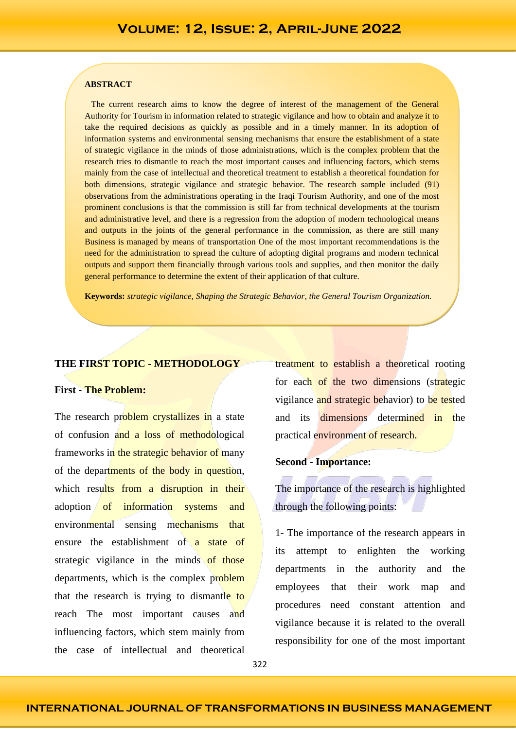#### **ABSTRACT**

 The current research aims to know the degree of interest of the management of the General Authority for Tourism in information related to strategic vigilance and how to obtain and analyze it to take the required decisions as quickly as possible and in a timely manner. In its adoption of information systems and environmental sensing mechanisms that ensure the establishment of a state of strategic vigilance in the minds of those administrations, which is the complex problem that the research tries to dismantle to reach the most important causes and influencing factors, which stems mainly from the case of intellectual and theoretical treatment to establish a theoretical foundation for both dimensions, strategic vigilance and strategic behavior. The research sample included (91) observations from the administrations operating in the Iraqi Tourism Authority, and one of the most prominent conclusions is that the commission is still far from technical developments at the tourism and administrative level, and there is a regression from the adoption of modern technological means and outputs in the joints of the general performance in the commission, as there are still many Business is managed by means of transportation One of the most important recommendations is the need for the administration to spread the culture of adopting digital programs and modern technical outputs and support them financially through various tools and supplies, and then monitor the daily general performance to determine the extent of their application of that culture.

**Keywords:** *strategic vigilance, Shaping the Strategic Behavior, the General Tourism Organization.*

#### **THE FIRST TOPIC - METHODOLOGY**

#### **First - The Problem:**

The research problem crystallizes in a state of confusion and a loss of methodological frameworks in the strategic behavior of many of the departments of the body in question, which results from a disruption in their adoption of information systems and environmental sensing mechanisms that ensure the establishment of a state of strategic vigilance in the minds of those departments, which is the complex problem that the research is trying to dismantle to reach The most important causes and influencing factors, which stem mainly from the case of intellectual and theoretical

treatment to establish a theoretical rooting for each of the two dimensions (strategic vigilance and strategic behavior) to be tested and its dimensions determined in the practical environment of research.

#### **Second - Importance:**

The importance of the research is highlighted through the following points:

1- The importance of the research appears in its attempt to enlighten the working departments in the authority and the employees that their work map and procedures need constant attention and vigilance because it is related to the overall responsibility for one of the most important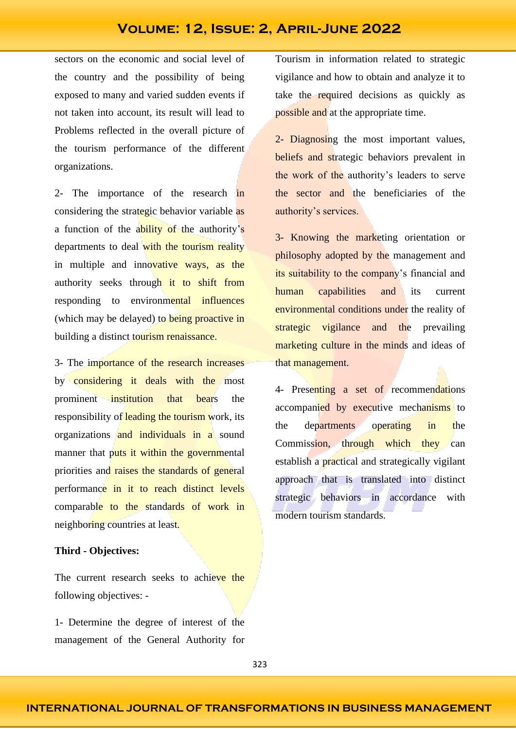sectors on the economic and social level of the country and the possibility of being exposed to many and varied sudden events if not taken into account, its result will lead to Problems reflected in the overall picture of the tourism performance of the different organizations.

2- The importance of the research in considering the strategic behavior variable as a function of the ability of the authority's departments to deal with the tourism reality in multiple and innovative ways, as the authority seeks through it to shift from responding to environmental influences (which may be delayed) to being proactive in building a distinct tourism renaissance.

3- The importance of the research increases by considering it deals with the most prominent institution that bears the responsibility of leading the tourism work, its organizations and individuals in a sound manner that puts it within the governmental priorities and raises the standards of general performance in it to reach distinct levels comparable to the standards of work in neighboring countries at least.

#### **Third - Objectives:**

The current research seeks to achieve the following objectives: -

1- Determine the degree of interest of the management of the General Authority for Tourism in information related to strategic vigilance and how to obtain and analyze it to take the required decisions as quickly as possible and at the appropriate time.

2- Diagnosing the most important values, beliefs and strategic behaviors prevalent in the work of the authority's leaders to serve the sector and the beneficiaries of the authority's services.

3- Knowing the marketing orientation or philosophy adopted by the management and its suitability to the company's financial and human capabilities and its current environmental conditions under the reality of strategic vigilance and the prevailing marketing culture in the minds and ideas of that management.

4- Presenting a set of recommendations accompanied by executive mechanisms to the departments operating in the Commission, through which they can establish a practical and strategically vigilant approach that is translated into distinct strategic behaviors in accordance with modern tourism standards.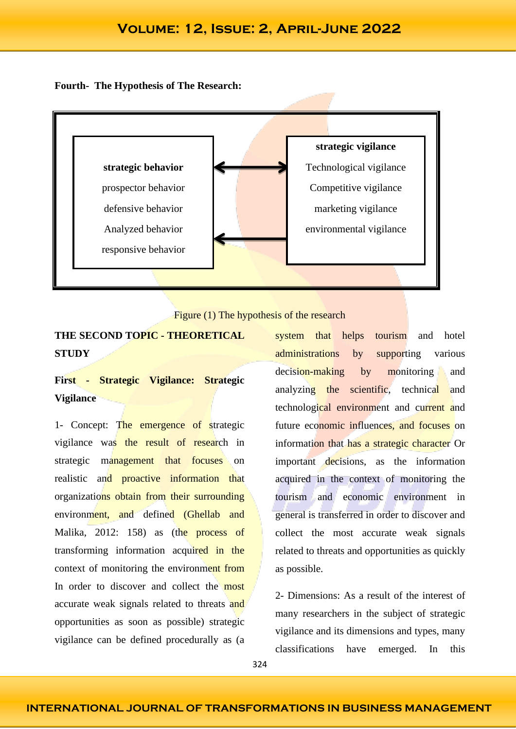#### **Fourth- The Hypothesis of The Research:**





### **THE SECOND TOPIC - THEORETICAL STUDY**

# **First - Strategic Vigilance: Strategic Vigilance**

1- Concept: The emergence of strategic vigilance was the result of research in strategic management that focuses on realistic and proactive information that organizations obtain from their surrounding environment, and defined (Ghellab and Malika, 2012: 158) as (the process of transforming information acquired in the context of monitoring the environment from In order to discover and collect the most accurate weak signals related to threats and opportunities as soon as possible) strategic vigilance can be defined procedurally as (a

system that helps tourism and hotel administrations by supporting various decision-making by monitoring and analyzing the scientific, technical and technological environment and current and future economic influences, and focuses on information that has a strategic character Or important decisions, as the information acquired in the context of monitoring the tourism and economic environment in general is transferred in order to discover and collect the most accurate weak signals related to threats and opportunities as quickly as possible.

2- Dimensions: As a result of the interest of many researchers in the subject of strategic vigilance and its dimensions and types, many classifications have emerged. In this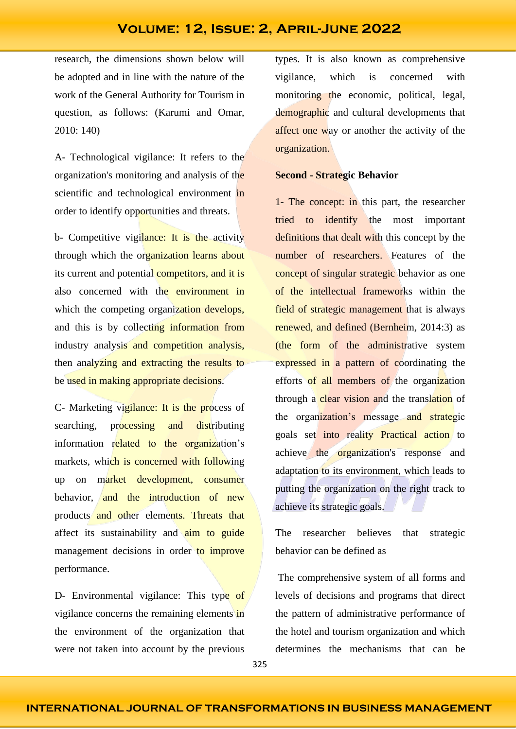research, the dimensions shown below will be adopted and in line with the nature of the work of the General Authority for Tourism in question, as follows: (Karumi and Omar, 2010: 140)

A- Technological vigilance: It refers to the organization's monitoring and analysis of the scientific and technological environment in order to identify opportunities and threats.

b- Competitive vigilance: It is the activity through which the organization learns about its current and potential competitors, and it is also concerned with the environment in which the competing organization develops, and this is by collecting information from industry analysis and competition analysis, then analyzing and extracting the results to be used in making appropriate decisions.

C- Marketing vigilance: It is the process of searching, processing and distributing information related to the organization's markets, which is concerned with following up on market development, consumer behavior, and the introduction of new products and other elements. Threats that affect its sustainability and aim to guide management decisions in order to improve performance.

D- Environmental vigilance: This type of vigilance concerns the remaining elements in the environment of the organization that were not taken into account by the previous

types. It is also known as comprehensive vigilance, which is concerned with monitoring the economic, political, legal, demographic and cultural developments that affect one way or another the activity of the organization.

#### **Second - Strategic Behavior**

1- The concept: in this part, the researcher tried to identify the most important definitions that dealt with this concept by the number of researchers. Features of the concept of singular strategic behavior as one of the intellectual frameworks within the field of strategic management that is always renewed, and defined (Bernheim, 2014:3) as (the form of the administrative system expressed in a pattern of coordinating the efforts of all members of the organization through a clear vision and the translation of the organization's message and strategic goals set into reality Practical action to achieve the organization's response and adaptation to its environment, which leads to putting the organization on the right track to achieve its strategic goals.

The researcher believes that strategic behavior can be defined as

The comprehensive system of all forms and levels of decisions and programs that direct the pattern of administrative performance of the hotel and tourism organization and which determines the mechanisms that can be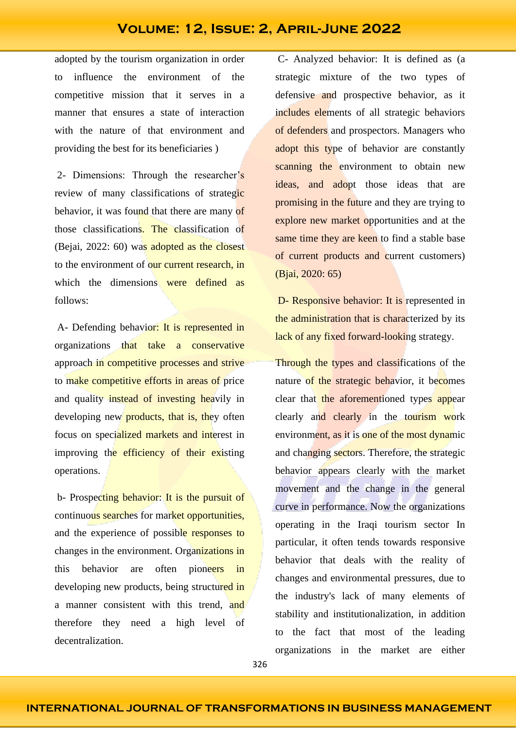adopted by the tourism organization in order to influence the environment of the competitive mission that it serves in a manner that ensures a state of interaction with the nature of that environment and providing the best for its beneficiaries )

2- Dimensions: Through the researcher's review of many classifications of strategic behavior, it was found that there are many of those classifications. The classification of (Bejai, 2022: 60) was adopted as the closest to the environment of our current research, in which the dimensions were defined as follows:

A- Defending behavior: It is represented in organizations that take a conservative approach in competitive processes and strive to make competitive efforts in areas of price and quality instead of investing heavily in developing new **products**, that is, they often focus on specialized markets and interest in improving the efficiency of their existing operations.

b- Prospecting behavior: It is the pursuit of continuous searches for market opportunities, and the experience of possible responses to changes in the environment. Organizations in this behavior are often pioneers in developing new products, being structured in a manner consistent with this trend, and therefore they need a high level of decentralization.

C- Analyzed behavior: It is defined as (a strategic mixture of the two types of defensive and prospective behavior, as it includes elements of all strategic behaviors of defenders and prospectors. Managers who adopt this type of behavior are constantly scanning the environment to obtain new ideas, and adopt those ideas that are promising in the future and they are trying to explore new market opportunities and at the same time they are keen to find a stable base of current products and current customers) (Bjai, 2020: 65)

D- Responsive behavior: It is represented in the administration that is characterized by its lack of any fixed forward-looking strategy.

Through the types and classifications of the nature of the strategic behavior, it becomes clear that the aforementioned types appear clearly and clearly in the tourism work environment, as it is one of the most dynamic and changing sectors. Therefore, the strategic behavior appears clearly with the market movement and the change in the general curve in performance. Now the organizations operating in the Iraqi tourism sector In particular, it often tends towards responsive behavior that deals with the reality of changes and environmental pressures, due to the industry's lack of many elements of stability and institutionalization, in addition to the fact that most of the leading organizations in the market are either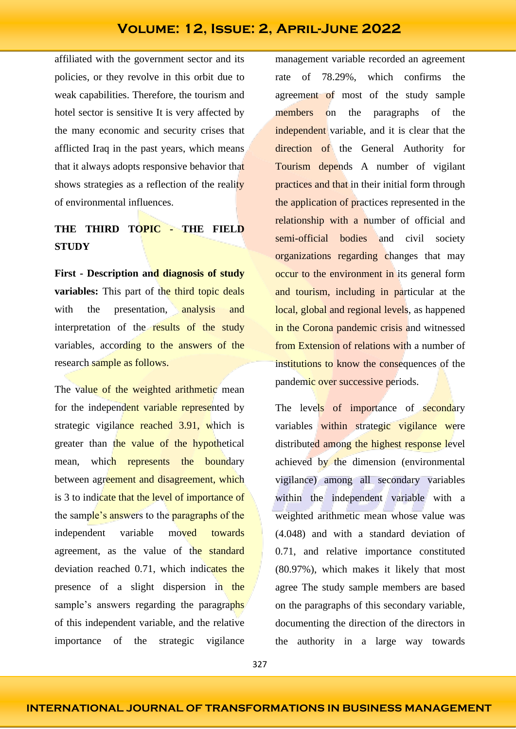affiliated with the government sector and its policies, or they revolve in this orbit due to weak capabilities. Therefore, the tourism and hotel sector is sensitive It is very affected by the many economic and security crises that afflicted Iraq in the past years, which means that it always adopts responsive behavior that shows strategies as a reflection of the reality of environmental influences.

## **THE THIRD TOPIC - THE FIELD STUDY**

**First - Description and diagnosis of study variables:** This part of the third topic deals with the presentation, analysis and interpretation of the results of the study variables, according to the answers of the research sample as follows.

The value of the weighted arithmetic mean for the independent variable represented by strategic vigilance reached 3.91, which is greater than the value of the hypothetical mean, which represents the boundary between agreement and disagreement, which is 3 to indicate that the level of importance of the sample's answers to the paragraphs of the independent variable moved towards agreement, as the value of the standard deviation reached 0.71, which indicates the presence of a slight dispersion in the sample's answers regarding the paragraphs of this independent variable, and the relative importance of the strategic vigilance

management variable recorded an agreement rate of 78.29%, which confirms the agreement of most of the study sample members on the paragraphs of the independent variable, and it is clear that the direction of the General Authority for Tourism depends A number of vigilant practices and that in their initial form through the application of practices represented in the relationship with a number of official and semi-official bodies and civil society organizations regarding changes that may occur to the environment in its general form and tourism, including in particular at the local, global and regional levels, as happened in the Corona pandemic crisis and witnessed from Extension of relations with a number of institutions to know the consequences of the pandemic over successive periods.

The levels of importance of secondary variables within strategic vigilance were distributed among the highest response level achieved by the dimension (environmental vigilance) among all secondary variables within the independent variable with a weighted arithmetic mean whose value was (4.048) and with a standard deviation of 0.71, and relative importance constituted (80.97%), which makes it likely that most agree The study sample members are based on the paragraphs of this secondary variable, documenting the direction of the directors in the authority in a large way towards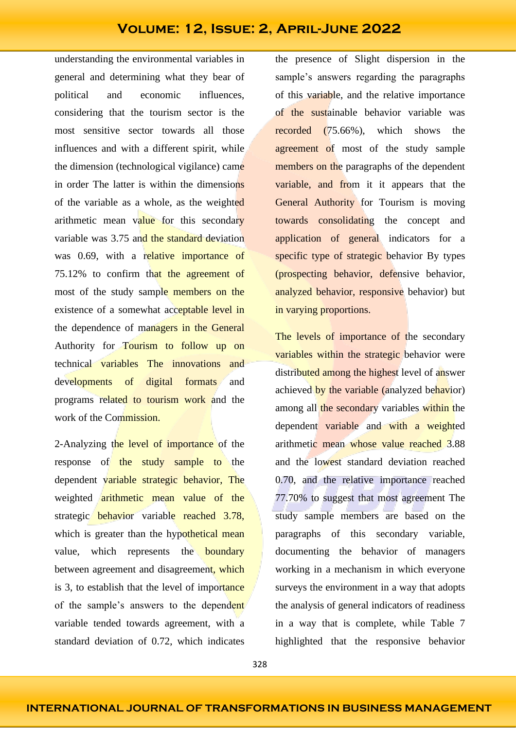understanding the environmental variables in general and determining what they bear of political and economic influences, considering that the tourism sector is the most sensitive sector towards all those influences and with a different spirit, while the dimension (technological vigilance) came in order The latter is within the dimensions of the variable as a whole, as the weighted arithmetic mean value for this secondary variable was 3.75 and the standard deviation was 0.69, with a relative importance of 75.12% to confirm that the agreement of most of the study sample members on the existence of a somewhat acceptable level in the dependence of managers in the General Authority for Tourism to follow up on technical variables The innovations and developments of digital formats and programs related to tourism work and the work of the Commission.

2-Analyzing the level of importance of the response of the study sample to the dependent variable strategic behavior, The weighted arithmetic mean value of the strategic behavior variable reached 3.78, which is greater than the hypothetical mean value, which represents the **boundary** between agreement and disagreement, which is 3, to establish that the level of importance of the sample's answers to the dependent variable tended towards agreement, with a standard deviation of 0.72, which indicates

the presence of Slight dispersion in the sample's answers regarding the paragraphs of this variable, and the relative importance of the sustainable behavior variable was recorded (75.66%), which shows the agreement of most of the study sample members on the paragraphs of the dependent variable, and from it it appears that the General Authority for Tourism is moving towards consolidating the concept and application of general indicators for a specific type of strategic behavior By types (prospecting behavior, defensive behavior, analyzed behavior, responsive behavior) but in varying proportions.

The levels of importance of the secondary variables within the strategic behavior were distributed among the highest level of answer achieved by the variable (analyzed behavior) among all the secondary variables within the dependent variable and with a weighted arithmetic mean whose value reached 3.88 and the lowest standard deviation reached 0.70, and the relative importance reached 77.70% to suggest that most agreement The study sample members are based on the paragraphs of this secondary variable, documenting the behavior of managers working in a mechanism in which everyone surveys the environment in a way that adopts the analysis of general indicators of readiness in a way that is complete, while Table 7 highlighted that the responsive behavior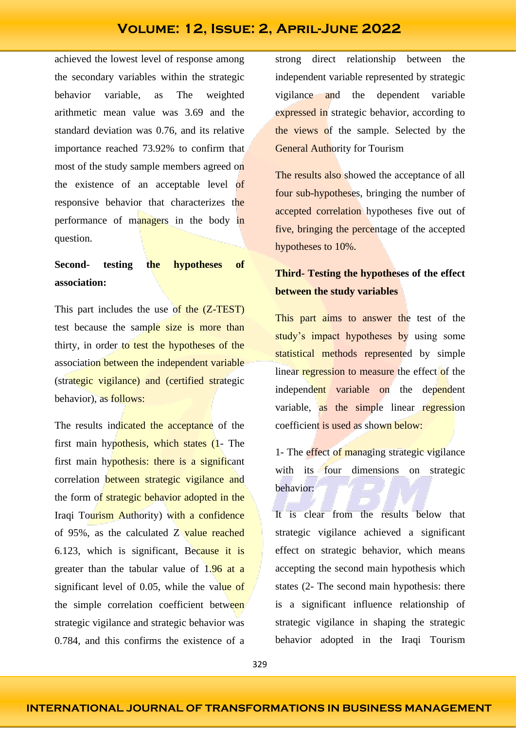achieved the lowest level of response among the secondary variables within the strategic behavior variable, as The weighted arithmetic mean value was 3.69 and the standard deviation was 0.76, and its relative importance reached 73.92% to confirm that most of the study sample members agreed on the existence of an acceptable level of responsive behavior that characterizes the performance of managers in the body in question.

## **Second- testing the hypotheses of association:**

This part includes the use of the (Z-TEST) test because the sample size is more than thirty, in order to test the hypotheses of the association between the independent variable (strategic vigilance) and (certified strategic behavior), as follows:

The results indicated the acceptance of the first main hypothesis, which states (1- The first main hypothesis: there is a significant correlation between strategic vigilance and the form of strategic behavior adopted in the Iraqi Tourism Authority) with a confidence of 95%, as the calculated Z value reached 6.123, which is significant, Because it is greater than the tabular value of  $1.96$  at a significant level of 0.05, while the value of the simple correlation coefficient between strategic vigilance and strategic behavior was 0.784, and this confirms the existence of a

strong direct relationship between the independent variable represented by strategic vigilance and the dependent variable expressed in strategic behavior, according to the views of the sample. Selected by the **General Authority for Tourism** 

The results also showed the acceptance of all four sub-hypotheses, bringing the number of accepted correlation hypotheses five out of five, bringing the percentage of the accepted hypotheses to 10%.

### **Third- Testing the hypotheses of the effect between the study variables**

This part aims to answer the test of the study's impact hypotheses by using some statistical methods represented by simple linear regression to measure the effect of the independent variable on the dependent variable, as the simple linear regression coefficient is used as shown below:

1- The effect of managing strategic vigilance with its four dimensions on strategic behavior:

It is clear from the results below that strategic vigilance achieved a significant effect on strategic behavior, which means accepting the second main hypothesis which states (2- The second main hypothesis: there is a significant influence relationship of strategic vigilance in shaping the strategic behavior adopted in the Iraqi Tourism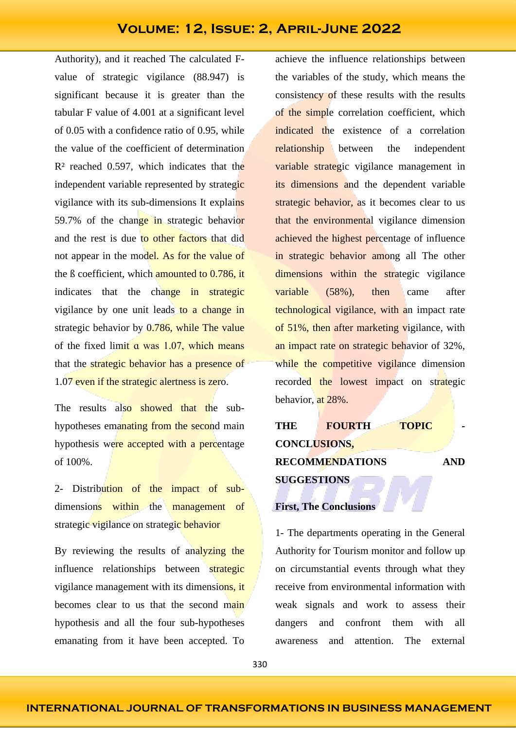Authority), and it reached The calculated Fvalue of strategic vigilance (88.947) is significant because it is greater than the tabular F value of 4.001 at a significant level of 0.05 with a confidence ratio of 0.95, while the value of the coefficient of determination  $R<sup>2</sup>$  reached 0.597, which indicates that the independent variable represented by strategic vigilance with its sub-dimensions It explains 59.7% of the change in strategic behavior and the rest is due to other factors that did not appear in the model. As for the value of the B coefficient, which **amounted to 0.786, it** indicates that the change in strategic vigilance by one unit leads to a change in strategic behavior by 0.786, while The value of the fixed limit  $\alpha$  was 1.07, which means that the strategic behavior has a presence of 1.07 even if the strategic alertness is zero.

The results also showed that the subhypotheses emanating from the second main hypothesis were accepted with a percentage of 100%.

2- Distribution of the impact of subdimensions within the management of strategic vigilance on strategic behavior

By reviewing the results of analyzing the influence relationships between strategic vigilance management with its dimensions, it becomes clear to us that the second main hypothesis and all the four sub-hypotheses emanating from it have been accepted. To

achieve the influence relationships between the variables of the study, which means the consistency of these results with the results of the simple correlation coefficient, which indicated the existence of a correlation relationship between the independent variable strategic vigilance management in its dimensions and the dependent variable strategic behavior, as it becomes clear to us that the environmental vigilance dimension achieved the highest percentage of influence in strategic behavior among all The other dimensions within the strategic vigilance variable (58%), then came after technological vigilance, with an impact rate of 51%, then after marketing vigilance, with an impact rate on strategic behavior of 32%, while the competitive vigilance dimension recorded the lowest impact on strategic behavior, at 28%.

| THE                    | <b>FOURTH</b> | <b>TOPIC</b> |            |
|------------------------|---------------|--------------|------------|
| <b>CONCLUSIONS,</b>    |               |              |            |
| <b>RECOMMENDATIONS</b> |               |              | <b>AND</b> |
| <b>SUGGESTIONS</b>     |               |              |            |

# **First, The Conclusions**

1- The departments operating in the General Authority for Tourism monitor and follow up on circumstantial events through what they receive from environmental information with weak signals and work to assess their dangers and confront them with all awareness and attention. The external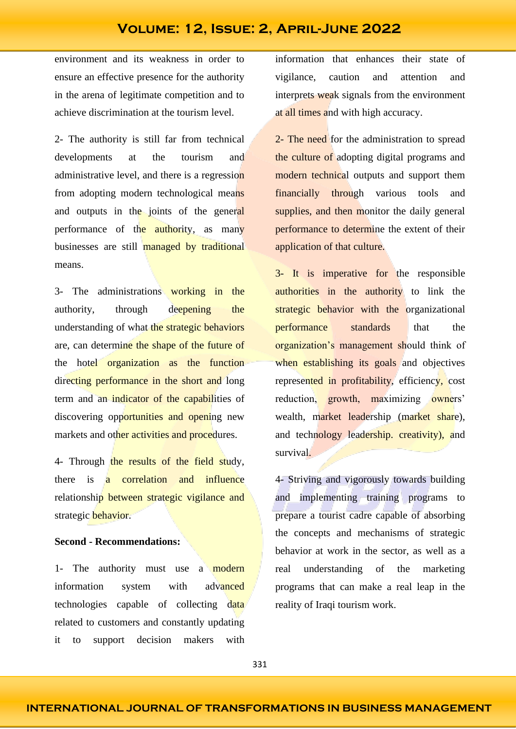environment and its weakness in order to ensure an effective presence for the authority in the arena of legitimate competition and to achieve discrimination at the tourism level.

2- The authority is still far from technical developments at the tourism and administrative level, and there is a regression from adopting modern technological means and outputs in the joints of the general performance of the **authority**, as many businesses are still managed by traditional means.

3- The administrations working in the authority, through deepening the understanding of what the strategic behaviors are, can determine the shape of the future of the hotel organization as the function directing performance in the short and long term and an indicator of the capabilities of discovering opportunities and opening new markets and other activities and procedures.

4- Through the results of the field study, there is a correlation and influence relationship between strategic vigilance and strategic behavior.

#### **Second - Recommendations:**

1- The authority must use a modern information system with advanced technologies capable of collecting data related to customers and constantly updating it to support decision makers with

information that enhances their state of vigilance, caution and attention and interprets weak signals from the environment at all times and with high accuracy.

2- The need for the administration to spread the culture of adopting digital programs and modern technical outputs and support them financially through various tools and supplies, and then monitor the daily general performance to determine the extent of their application of that culture.

3- It is imperative for the responsible authorities in the authority to link the strategic behavior with the organizational performance standards that the organization's management should think of when establishing its goals and objectives represented in profitability, efficiency, cost reduction, growth, maximizing owners' wealth, market leadership (market share), and technology leadership. creativity), and survival.

4- Striving and vigorously towards building and implementing training programs to prepare a tourist cadre capable of absorbing the concepts and mechanisms of strategic behavior at work in the sector, as well as a real understanding of the marketing programs that can make a real leap in the reality of Iraqi tourism work.